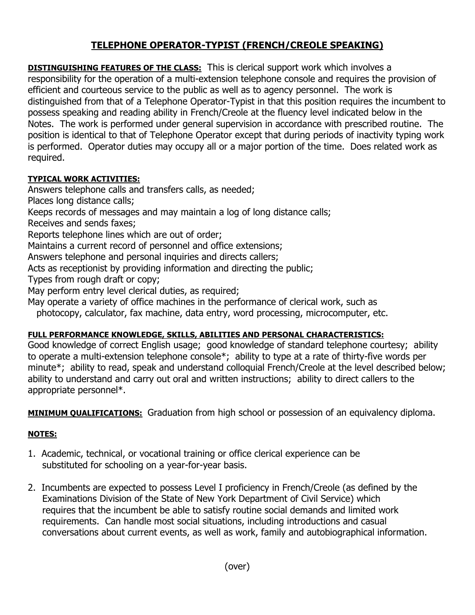## **TELEPHONE OPERATOR-TYPIST (FRENCH/CREOLE SPEAKING)**

**DISTINGUISHING FEATURES OF THE CLASS:** This is clerical support work which involves a responsibility for the operation of a multi-extension telephone console and requires the provision of efficient and courteous service to the public as well as to agency personnel. The work is distinguished from that of a Telephone Operator-Typist in that this position requires the incumbent to possess speaking and reading ability in French/Creole at the fluency level indicated below in the Notes. The work is performed under general supervision in accordance with prescribed routine. The position is identical to that of Telephone Operator except that during periods of inactivity typing work is performed. Operator duties may occupy all or a major portion of the time. Does related work as required.

## **TYPICAL WORK ACTIVITIES:**

Answers telephone calls and transfers calls, as needed;

Places long distance calls;

Keeps records of messages and may maintain a log of long distance calls;

Receives and sends faxes;

Reports telephone lines which are out of order;

Maintains a current record of personnel and office extensions;

Answers telephone and personal inquiries and directs callers;

Acts as receptionist by providing information and directing the public;

Types from rough draft or copy;

May perform entry level clerical duties, as required;

May operate a variety of office machines in the performance of clerical work, such as

photocopy, calculator, fax machine, data entry, word processing, microcomputer, etc.

## **FULL PERFORMANCE KNOWLEDGE, SKILLS, ABILITIES AND PERSONAL CHARACTERISTICS:**

Good knowledge of correct English usage; good knowledge of standard telephone courtesy; ability to operate a multi-extension telephone console\*; ability to type at a rate of thirty-five words per minute\*; ability to read, speak and understand colloquial French/Creole at the level described below; ability to understand and carry out oral and written instructions; ability to direct callers to the appropriate personnel\*.

**MINIMUM QUALIFICATIONS:** Graduation from high school or possession of an equivalency diploma.

## **NOTES:**

- 1. Academic, technical, or vocational training or office clerical experience can be substituted for schooling on a year-for-year basis.
- 2. Incumbents are expected to possess Level I proficiency in French/Creole (as defined by the Examinations Division of the State of New York Department of Civil Service) which requires that the incumbent be able to satisfy routine social demands and limited work requirements. Can handle most social situations, including introductions and casual conversations about current events, as well as work, family and autobiographical information.